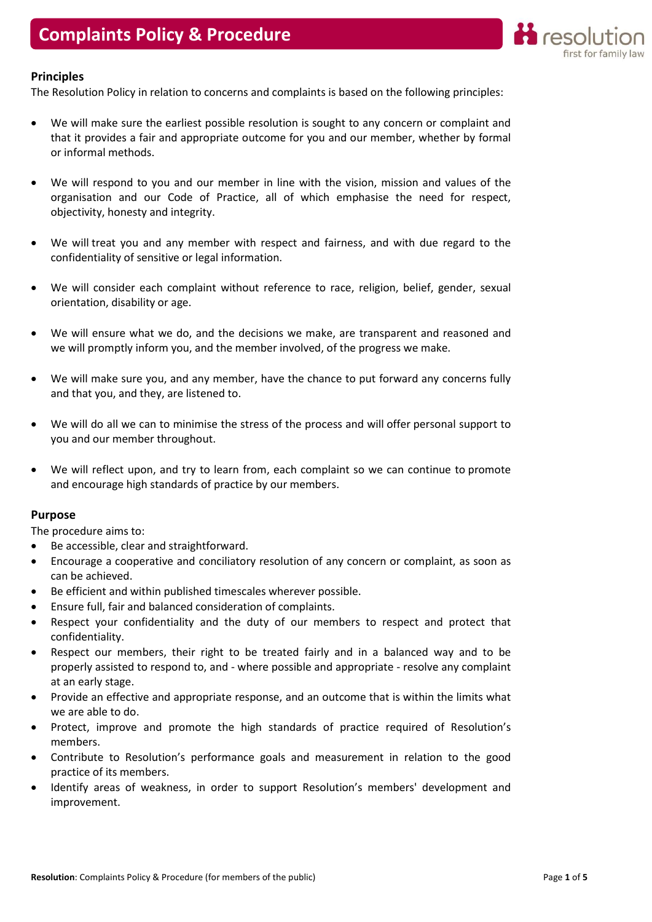

# **Principles**

The Resolution Policy in relation to concerns and complaints is based on the following principles:

- We will make sure the earliest possible resolution is sought to any concern or complaint and that it provides a fair and appropriate outcome for you and our member, whether by formal or informal methods.
- We will respond to you and our member in line with the vision, mission and values of the organisation and our Code of Practice, all of which emphasise the need for respect, objectivity, honesty and integrity.
- We will treat you and any member with respect and fairness, and with due regard to the confidentiality of sensitive or legal information.
- We will consider each complaint without reference to race, religion, belief, gender, sexual orientation, disability or age.
- We will ensure what we do, and the decisions we make, are transparent and reasoned and we will promptly inform you, and the member involved, of the progress we make.
- We will make sure you, and any member, have the chance to put forward any concerns fully and that you, and they, are listened to.
- We will do all we can to minimise the stress of the process and will offer personal support to you and our member throughout.
- We will reflect upon, and try to learn from, each complaint so we can continue to promote and encourage high standards of practice by our members.

### Purpose

The procedure aims to:

- Be accessible, clear and straightforward.
- Encourage a cooperative and conciliatory resolution of any concern or complaint, as soon as can be achieved.
- Be efficient and within published timescales wherever possible.
- Ensure full, fair and balanced consideration of complaints.
- Respect your confidentiality and the duty of our members to respect and protect that confidentiality.
- Respect our members, their right to be treated fairly and in a balanced way and to be properly assisted to respond to, and - where possible and appropriate - resolve any complaint at an early stage.
- Provide an effective and appropriate response, and an outcome that is within the limits what we are able to do.
- Protect, improve and promote the high standards of practice required of Resolution's members.
- Contribute to Resolution's performance goals and measurement in relation to the good practice of its members.
- Identify areas of weakness, in order to support Resolution's members' development and improvement.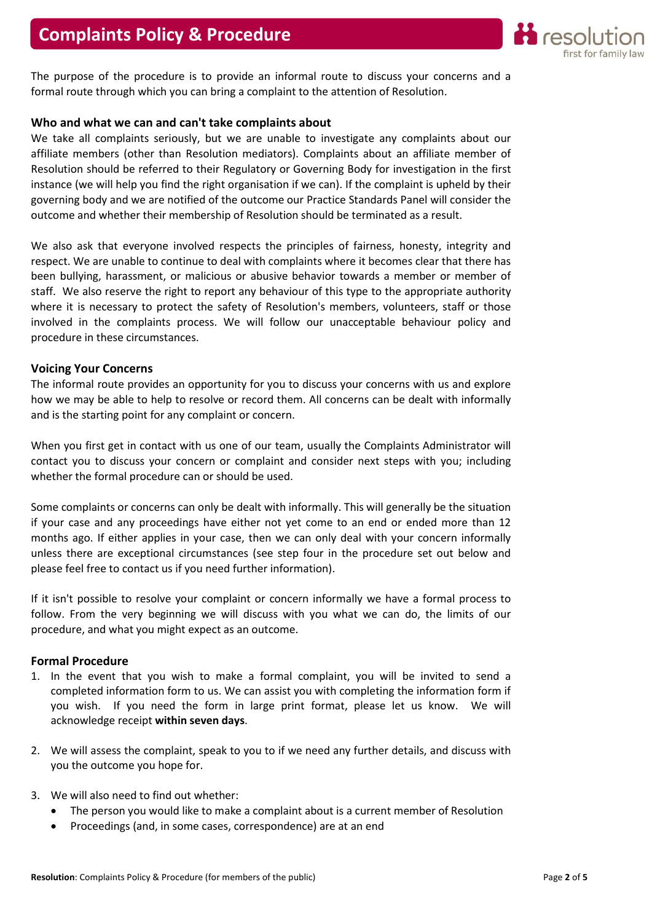

The purpose of the procedure is to provide an informal route to discuss your concerns and a formal route through which you can bring a complaint to the attention of Resolution.

## Who and what we can and can't take complaints about

We take all complaints seriously, but we are unable to investigate any complaints about our affiliate members (other than Resolution mediators). Complaints about an affiliate member of Resolution should be referred to their Regulatory or Governing Body for investigation in the first instance (we will help you find the right organisation if we can). If the complaint is upheld by their governing body and we are notified of the outcome our Practice Standards Panel will consider the outcome and whether their membership of Resolution should be terminated as a result.

We also ask that everyone involved respects the principles of fairness, honesty, integrity and respect. We are unable to continue to deal with complaints where it becomes clear that there has been bullying, harassment, or malicious or abusive behavior towards a member or member of staff. We also reserve the right to report any behaviour of this type to the appropriate authority where it is necessary to protect the safety of Resolution's members, volunteers, staff or those involved in the complaints process. We will follow our unacceptable behaviour policy and procedure in these circumstances.

# Voicing Your Concerns

The informal route provides an opportunity for you to discuss your concerns with us and explore how we may be able to help to resolve or record them. All concerns can be dealt with informally and is the starting point for any complaint or concern.

When you first get in contact with us one of our team, usually the Complaints Administrator will contact you to discuss your concern or complaint and consider next steps with you; including whether the formal procedure can or should be used.

Some complaints or concerns can only be dealt with informally. This will generally be the situation if your case and any proceedings have either not yet come to an end or ended more than 12 months ago. If either applies in your case, then we can only deal with your concern informally unless there are exceptional circumstances (see step four in the procedure set out below and please feel free to contact us if you need further information).

If it isn't possible to resolve your complaint or concern informally we have a formal process to follow. From the very beginning we will discuss with you what we can do, the limits of our procedure, and what you might expect as an outcome.

### Formal Procedure

- 1. In the event that you wish to make a formal complaint, you will be invited to send a completed information form to us. We can assist you with completing the information form if you wish. If you need the form in large print format, please let us know. We will acknowledge receipt within seven days.
- 2. We will assess the complaint, speak to you to if we need any further details, and discuss with you the outcome you hope for.
- 3. We will also need to find out whether:
	- The person you would like to make a complaint about is a current member of Resolution
	- Proceedings (and, in some cases, correspondence) are at an end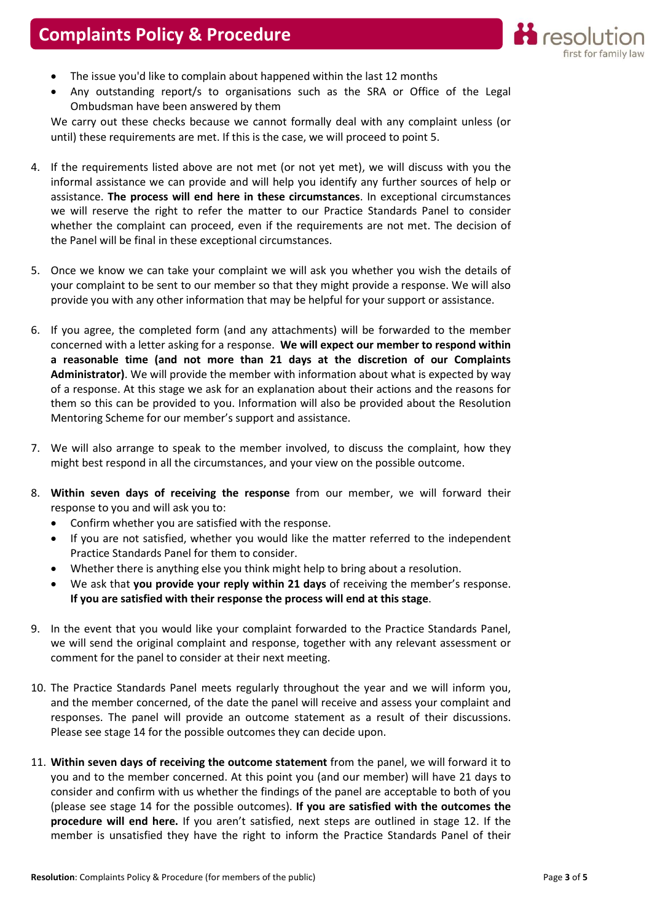

- The issue you'd like to complain about happened within the last 12 months
- Any outstanding report/s to organisations such as the SRA or Office of the Legal Ombudsman have been answered by them

We carry out these checks because we cannot formally deal with any complaint unless (or until) these requirements are met. If this is the case, we will proceed to point 5.

- 4. If the requirements listed above are not met (or not yet met), we will discuss with you the informal assistance we can provide and will help you identify any further sources of help or assistance. The process will end here in these circumstances. In exceptional circumstances we will reserve the right to refer the matter to our Practice Standards Panel to consider whether the complaint can proceed, even if the requirements are not met. The decision of the Panel will be final in these exceptional circumstances.
- 5. Once we know we can take your complaint we will ask you whether you wish the details of your complaint to be sent to our member so that they might provide a response. We will also provide you with any other information that may be helpful for your support or assistance.
- 6. If you agree, the completed form (and any attachments) will be forwarded to the member concerned with a letter asking for a response. We will expect our member to respond within a reasonable time (and not more than 21 days at the discretion of our Complaints Administrator). We will provide the member with information about what is expected by way of a response. At this stage we ask for an explanation about their actions and the reasons for them so this can be provided to you. Information will also be provided about the Resolution Mentoring Scheme for our member's support and assistance.
- 7. We will also arrange to speak to the member involved, to discuss the complaint, how they might best respond in all the circumstances, and your view on the possible outcome.
- 8. Within seven days of receiving the response from our member, we will forward their response to you and will ask you to:
	- Confirm whether you are satisfied with the response.
	- If you are not satisfied, whether you would like the matter referred to the independent Practice Standards Panel for them to consider.
	- Whether there is anything else you think might help to bring about a resolution.
	- We ask that you provide your reply within 21 days of receiving the member's response. If you are satisfied with their response the process will end at this stage.
- 9. In the event that you would like your complaint forwarded to the Practice Standards Panel, we will send the original complaint and response, together with any relevant assessment or comment for the panel to consider at their next meeting.
- 10. The Practice Standards Panel meets regularly throughout the year and we will inform you, and the member concerned, of the date the panel will receive and assess your complaint and responses. The panel will provide an outcome statement as a result of their discussions. Please see stage 14 for the possible outcomes they can decide upon.
- 11. Within seven days of receiving the outcome statement from the panel, we will forward it to you and to the member concerned. At this point you (and our member) will have 21 days to consider and confirm with us whether the findings of the panel are acceptable to both of you (please see stage 14 for the possible outcomes). If you are satisfied with the outcomes the procedure will end here. If you aren't satisfied, next steps are outlined in stage 12. If the member is unsatisfied they have the right to inform the Practice Standards Panel of their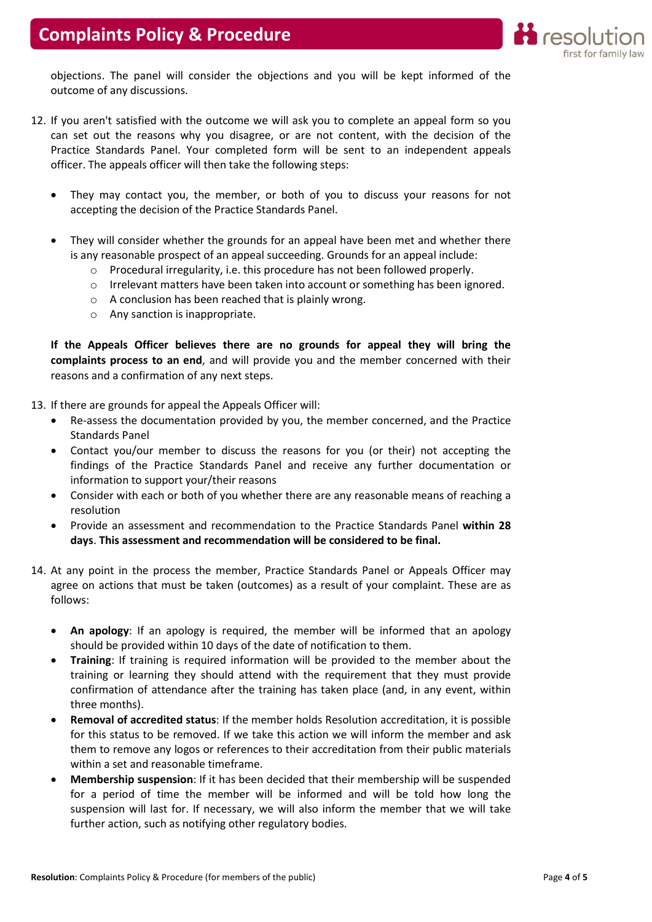

objections. The panel will consider the objections and you will be kept informed of the outcome of any discussions.

- 12. If you aren't satisfied with the outcome we will ask you to complete an appeal form so you can set out the reasons why you disagree, or are not content, with the decision of the Practice Standards Panel. Your completed form will be sent to an independent appeals officer. The appeals officer will then take the following steps:
	- They may contact you, the member, or both of you to discuss your reasons for not accepting the decision of the Practice Standards Panel.
	- They will consider whether the grounds for an appeal have been met and whether there is any reasonable prospect of an appeal succeeding. Grounds for an appeal include:
		- o Procedural irregularity, i.e. this procedure has not been followed properly.
		- o Irrelevant matters have been taken into account or something has been ignored.
		- o A conclusion has been reached that is plainly wrong.
		- o Any sanction is inappropriate.

If the Appeals Officer believes there are no grounds for appeal they will bring the complaints process to an end, and will provide you and the member concerned with their reasons and a confirmation of any next steps.

13. If there are grounds for appeal the Appeals Officer will:

- Re-assess the documentation provided by you, the member concerned, and the Practice Standards Panel
- Contact you/our member to discuss the reasons for you (or their) not accepting the findings of the Practice Standards Panel and receive any further documentation or information to support your/their reasons
- Consider with each or both of you whether there are any reasonable means of reaching a resolution
- Provide an assessment and recommendation to the Practice Standards Panel within 28 days. This assessment and recommendation will be considered to be final.
- 14. At any point in the process the member, Practice Standards Panel or Appeals Officer may agree on actions that must be taken (outcomes) as a result of your complaint. These are as follows:
	- An apology: If an apology is required, the member will be informed that an apology should be provided within 10 days of the date of notification to them.
	- Training: If training is required information will be provided to the member about the training or learning they should attend with the requirement that they must provide confirmation of attendance after the training has taken place (and, in any event, within three months).
	- Removal of accredited status: If the member holds Resolution accreditation, it is possible for this status to be removed. If we take this action we will inform the member and ask them to remove any logos or references to their accreditation from their public materials within a set and reasonable timeframe.
	- Membership suspension: If it has been decided that their membership will be suspended for a period of time the member will be informed and will be told how long the suspension will last for. If necessary, we will also inform the member that we will take further action, such as notifying other regulatory bodies.